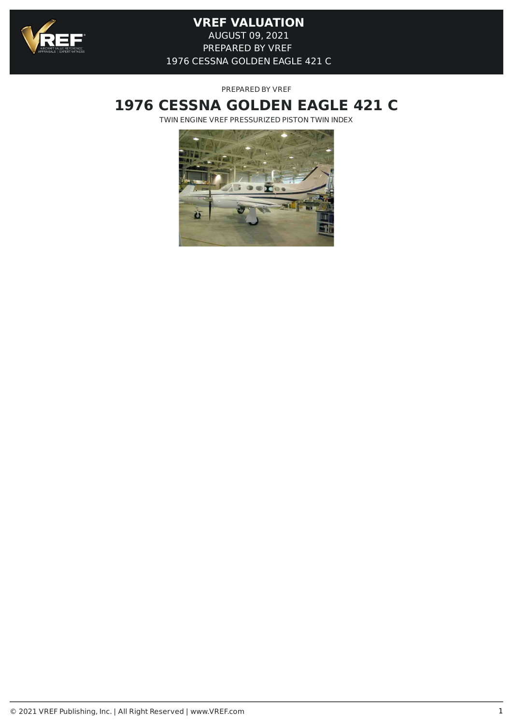

PREPARED BY VREF

# **1976 CESSNA GOLDEN EAGLE 421 C**

TWIN ENGINE VREF PRESSURIZED PISTON TWIN INDEX

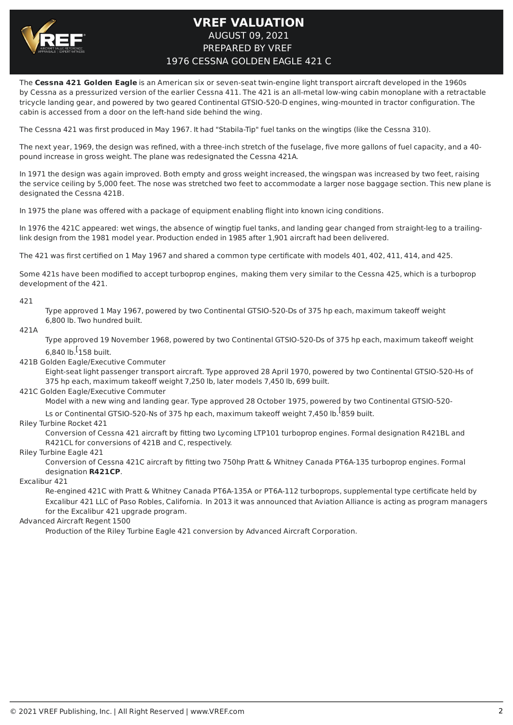

The **Cessna 421 Golden Eagle** is an American six or seven-seat twin-engine light transport aircraft developed in the 1960s by Cessna as a pressurized version of the earlier Cessna 411. The 421 is an all-metal low-wing cabin monoplane with a retractable tricycle landing gear, and powered by two geared Continental GTSIO-520-D engines, wing-mounted in tractor configuration. The cabin is accessed from a door on the left-hand side behind the wing.

The Cessna 421 was first produced in May 1967. It had "Stabila-Tip" fuel tanks on the wingtips (like the Cessna 310).

The next year, 1969, the design was refined, with a three-inch stretch of the fuselage, five more gallons of fuel capacity, and a 40 pound increase in gross weight. The plane was redesignated the Cessna 421A.

In 1971 the design was again improved. Both empty and gross weight increased, the wingspan was increased by two feet, raising the service ceiling by 5,000 feet. The nose was stretched two feet to accommodate a larger nose baggage section. This new plane is designated the Cessna 421B.

In 1975 the plane was offered with a package of equipment enabling flight into known icing conditions.

In 1976 the 421C appeared: wet wings, the absence of wingtip fuel tanks, and landing gear changed from straight-leg to a trailinglink design from the 1981 model year. Production ended in 1985 after 1,901 aircraft had been delivered.

The 421 was first certified on 1 May 1967 and shared a common type certificate with models 401, 402, 411, 414, and 425.

Some 421s have been modified to accept turboprop engines, making them very similar to the Cessna 425, which is a turboprop development of the 421.

#### 421

Type approved 1 May 1967, powered by two Continental GTSIO-520-Ds of 375 hp each, maximum takeoff weight 6,800 lb. Two hundred built.

421A

Type approved 19 November 1968, powered by two Continental GTSIO-520-Ds of 375 hp each, maximum takeoff weight 6,840 lb.<sup>[</sup>158 built.

421B Golden Eagle/Executive Commuter

Eight-seat light passenger transport aircraft. Type approved 28 April 1970, powered by two Continental GTSIO-520-Hs of 375 hp each, maximum takeoff weight 7,250 lb, later models 7,450 lb, 699 built.

#### 421C Golden Eagle/Executive Commuter

Model with a new wing and landing gear. Type approved 28 October 1975, powered by two Continental GTSIO-520-

Ls or Continental GTSIO-520-Ns of 375 hp each, maximum takeoff weight 7,450 lb. <sup>[</sup>859 built.

Riley Turbine Rocket 421

Conversion of Cessna 421 aircraft by fitting two Lycoming LTP101 turboprop engines. Formal designation R421BL and R421CL for conversions of 421B and C, respectively.

Riley Turbine Eagle 421

Conversion of Cessna 421C aircraft by fitting two 750hp Pratt & Whitney Canada PT6A-135 turboprop engines. Formal designation **R421CP**.

Excalibur 421

Re-engined 421C with Pratt & Whitney Canada PT6A-135A or PT6A-112 turboprops, supplemental type certificate held by Excalibur 421 LLC of Paso Robles, California. In 2013 it was announced that Aviation Alliance is acting as program managers for the Excalibur 421 upgrade program.

Advanced Aircraft Regent 1500

Production of the Riley Turbine Eagle 421 conversion by Advanced Aircraft Corporation.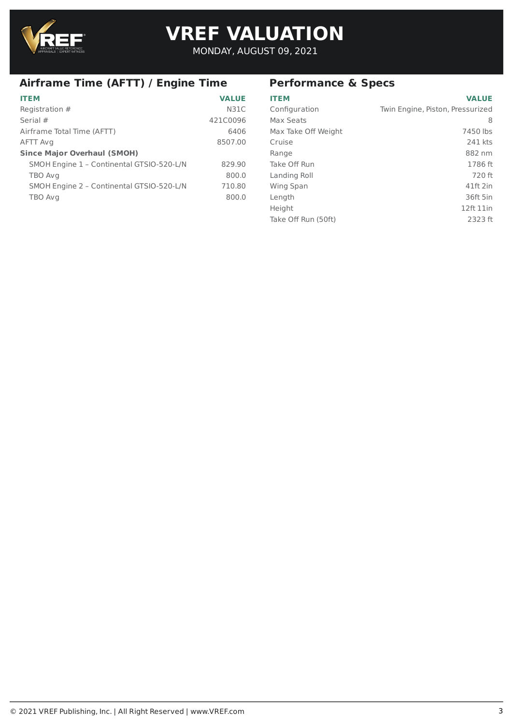

# **VREF VALUATION VREF VALUATION**

MONDAY, AUGUST 09, 2021

# **Airframe Time (AFTT) / Engine Time**

| <b>ITEM</b>                               | <b>VALUE</b> |
|-------------------------------------------|--------------|
| Registration #                            | <b>N31C</b>  |
| Serial #                                  | 421C0096     |
| Airframe Total Time (AFTT)                | 6406         |
| AFTT Avg                                  | 8507.00      |
| <b>Since Major Overhaul (SMOH)</b>        |              |
| SMOH Engine 1 - Continental GTSIO-520-L/N | 829.90       |
| TBO Avg                                   | 800.0        |
| SMOH Engine 2 - Continental GTSIO-520-L/N | 710.80       |
| TBO Avg                                   | 800.0        |
|                                           |              |

# **Performance & Specs**

| <b>ITEM</b>         | <b>VALUE</b>                     |
|---------------------|----------------------------------|
| Configuration       | Twin Engine, Piston, Pressurized |
| Max Seats           | 8                                |
| Max Take Off Weight | 7450 lbs                         |
| Cruise              | 241 kts                          |
| Range               | 882 nm                           |
| Take Off Run        | 1786 ft                          |
| Landing Roll        | 720 ft                           |
| <b>Wing Span</b>    | 41ft 2in                         |
| Length              | 36ft 5in                         |
| Height              | 12ft 11in                        |
| Take Off Run (50ft) | 2323 ft                          |
|                     |                                  |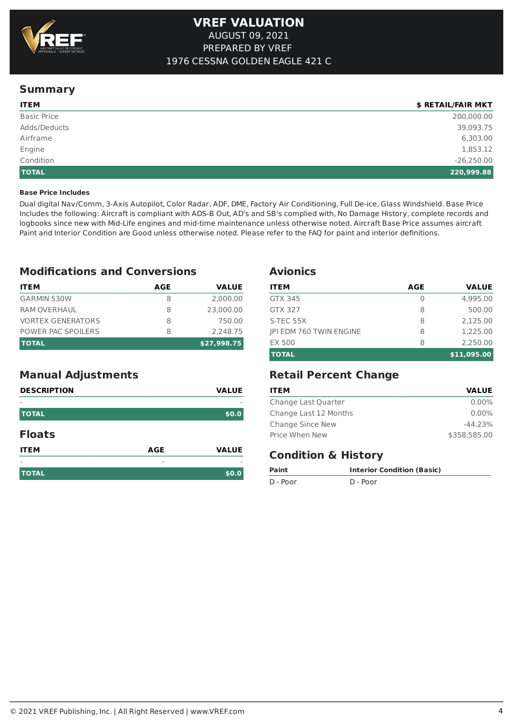

# **Summary**

| <b>ITEM</b>        | \$ RETAIL/FAIR MKT |
|--------------------|--------------------|
| <b>Basic Price</b> | 200,000.00         |
| Adds/Deducts       | 39,093.75          |
| Airframe           | 6,303.00           |
| Engine             | 1,853.12           |
| Condition          | $-26,250.00$       |
| <b>TOTAL</b>       | 220,999.88         |

## **Base Price Includes**

Dual digital Nav/Comm, 3-Axis Autopilot, Color Radar, ADF, DME, Factory Air Conditioning, Full De-ice, Glass Windshield. Base Price Includes the following: Aircraft is compliant with ADS-B Out, AD's and SB's complied with, No Damage History, complete records and logbooks since new with Mid-Life engines and mid-time maintenance unless otherwise noted. Aircraft Base Price assumes aircraft Paint and Interior Condition are Good unless otherwise noted. Please refer to the FAQ for paint and interior definitions.

# **Modifications and Conversions**

| <b>ITEM</b>              | AGE | <b>VALUE</b> |
|--------------------------|-----|--------------|
| <b>GARMIN 530W</b>       | 8   | 2,000.00     |
| <b>RAM OVERHAUL</b>      | 8   | 23,000,00    |
| <b>VORTEX GENERATORS</b> | 8   | 750.00       |
| POWER PAC SPOILERS       | 8   | 2.248.75     |
| <b>TOTAL</b>             |     | \$27,998.75  |

# **Manual Adjustments**

| <b>DESCRIPTION</b> |            | <b>VALUE</b> |
|--------------------|------------|--------------|
|                    |            | -            |
| <b>TOTAL</b>       |            | \$0.0        |
| <b>Floats</b>      |            |              |
| <b>ITEM</b>        | <b>AGE</b> | <b>VALUE</b> |
|                    |            |              |
| <b>TOTAL</b>       |            | \$0.0        |

## **Avionics**

| <b>ITEM</b>                    | AGE | <b>VALUE</b> |
|--------------------------------|-----|--------------|
| <b>GTX 345</b>                 | 0   | 4,995.00     |
| <b>GTX 327</b>                 | 8   | 500.00       |
| S-TEC 55X                      | 8   | 2.125.00     |
| <b>IPI EDM 760 TWIN ENGINE</b> | 8   | 1,225,00     |
| <b>EX 500</b>                  | 8   | 2.250.00     |
| <b>TOTAL</b>                   |     | \$11,095.00  |

# **Retail Percent Change**

| <b>ITEM</b>           | <b>VALUE</b> |
|-----------------------|--------------|
| Change Last Quarter   | $0.00\%$     |
| Change Last 12 Months | $0.00\%$     |
| Change Since New      | $-44.23%$    |
| Price When New        | \$358,585,00 |

# **Condition & History**

| Paint    | <b>Interior Condition (Basic)</b> |
|----------|-----------------------------------|
| D - Poor | D - Poor                          |